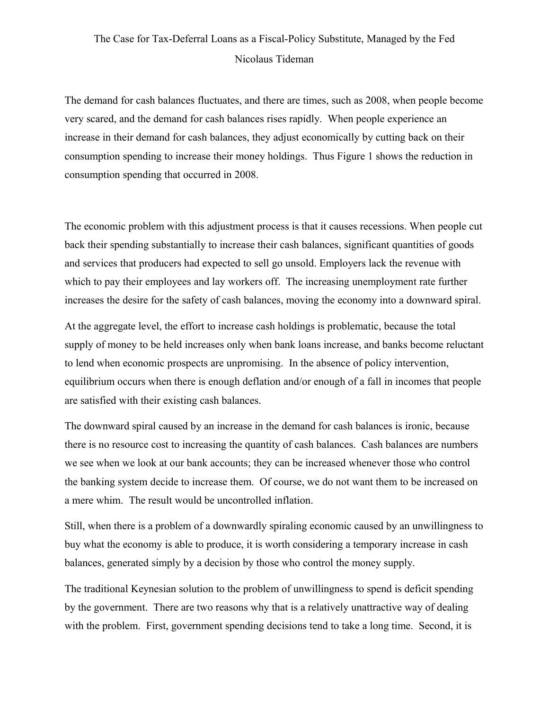## The Case for Tax-Deferral Loans as a Fiscal-Policy Substitute, Managed by the Fed Nicolaus Tideman

The demand for cash balances fluctuates, and there are times, such as 2008, when people become very scared, and the demand for cash balances rises rapidly. When people experience an increase in their demand for cash balances, they adjust economically by cutting back on their consumption spending to increase their money holdings. Thus Figure 1 shows the reduction in consumption spending that occurred in 2008.

The economic problem with this adjustment process is that it causes recessions. When people cut back their spending substantially to increase their cash balances, significant quantities of goods and services that producers had expected to sell go unsold. Employers lack the revenue with which to pay their employees and lay workers off. The increasing unemployment rate further increases the desire for the safety of cash balances, moving the economy into a downward spiral.

At the aggregate level, the effort to increase cash holdings is problematic, because the total supply of money to be held increases only when bank loans increase, and banks become reluctant to lend when economic prospects are unpromising. In the absence of policy intervention, equilibrium occurs when there is enough deflation and/or enough of a fall in incomes that people are satisfied with their existing cash balances.

The downward spiral caused by an increase in the demand for cash balances is ironic, because there is no resource cost to increasing the quantity of cash balances. Cash balances are numbers we see when we look at our bank accounts; they can be increased whenever those who control the banking system decide to increase them. Of course, we do not want them to be increased on a mere whim. The result would be uncontrolled inflation.

Still, when there is a problem of a downwardly spiraling economic caused by an unwillingness to buy what the economy is able to produce, it is worth considering a temporary increase in cash balances, generated simply by a decision by those who control the money supply.

The traditional Keynesian solution to the problem of unwillingness to spend is deficit spending by the government. There are two reasons why that is a relatively unattractive way of dealing with the problem. First, government spending decisions tend to take a long time. Second, it is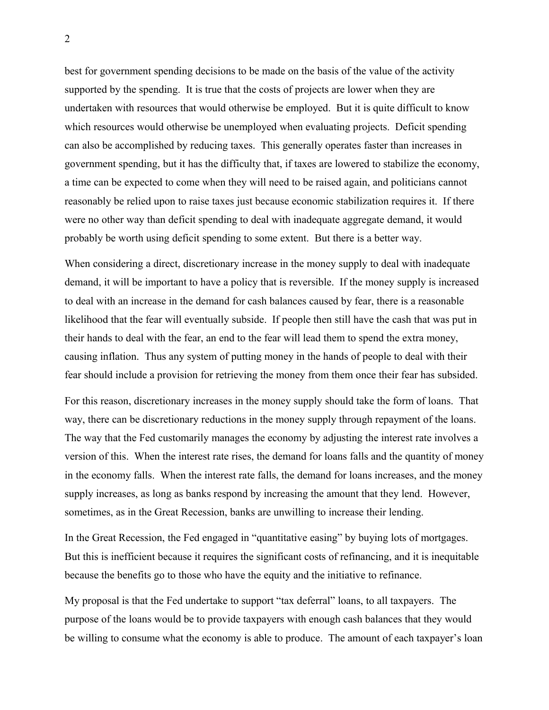best for government spending decisions to be made on the basis of the value of the activity supported by the spending. It is true that the costs of projects are lower when they are undertaken with resources that would otherwise be employed. But it is quite difficult to know which resources would otherwise be unemployed when evaluating projects. Deficit spending can also be accomplished by reducing taxes. This generally operates faster than increases in government spending, but it has the difficulty that, if taxes are lowered to stabilize the economy, a time can be expected to come when they will need to be raised again, and politicians cannot reasonably be relied upon to raise taxes just because economic stabilization requires it. If there were no other way than deficit spending to deal with inadequate aggregate demand, it would probably be worth using deficit spending to some extent. But there is a better way.

When considering a direct, discretionary increase in the money supply to deal with inadequate demand, it will be important to have a policy that is reversible. If the money supply is increased to deal with an increase in the demand for cash balances caused by fear, there is a reasonable likelihood that the fear will eventually subside. If people then still have the cash that was put in their hands to deal with the fear, an end to the fear will lead them to spend the extra money, causing inflation. Thus any system of putting money in the hands of people to deal with their fear should include a provision for retrieving the money from them once their fear has subsided.

For this reason, discretionary increases in the money supply should take the form of loans. That way, there can be discretionary reductions in the money supply through repayment of the loans. The way that the Fed customarily manages the economy by adjusting the interest rate involves a version of this. When the interest rate rises, the demand for loans falls and the quantity of money in the economy falls. When the interest rate falls, the demand for loans increases, and the money supply increases, as long as banks respond by increasing the amount that they lend. However, sometimes, as in the Great Recession, banks are unwilling to increase their lending.

In the Great Recession, the Fed engaged in "quantitative easing" by buying lots of mortgages. But this is inefficient because it requires the significant costs of refinancing, and it is inequitable because the benefits go to those who have the equity and the initiative to refinance.

My proposal is that the Fed undertake to support "tax deferral" loans, to all taxpayers. The purpose of the loans would be to provide taxpayers with enough cash balances that they would be willing to consume what the economy is able to produce. The amount of each taxpayer's loan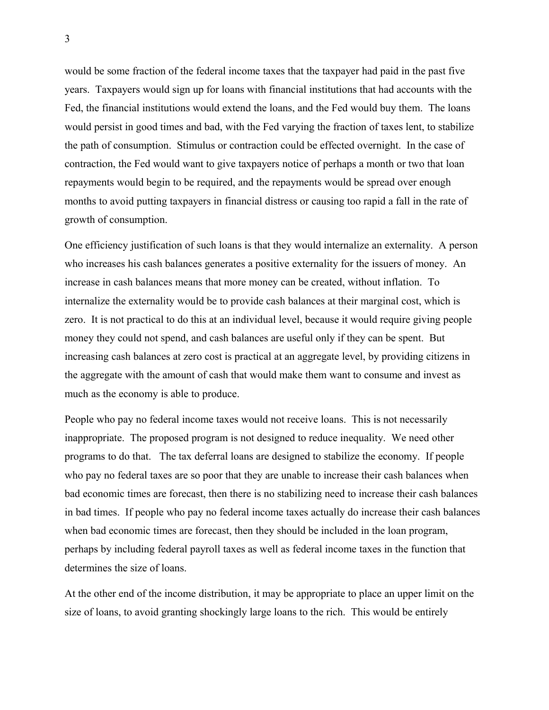would be some fraction of the federal income taxes that the taxpayer had paid in the past five years. Taxpayers would sign up for loans with financial institutions that had accounts with the Fed, the financial institutions would extend the loans, and the Fed would buy them. The loans would persist in good times and bad, with the Fed varying the fraction of taxes lent, to stabilize the path of consumption. Stimulus or contraction could be effected overnight. In the case of contraction, the Fed would want to give taxpayers notice of perhaps a month or two that loan repayments would begin to be required, and the repayments would be spread over enough months to avoid putting taxpayers in financial distress or causing too rapid a fall in the rate of growth of consumption.

One efficiency justification of such loans is that they would internalize an externality. A person who increases his cash balances generates a positive externality for the issuers of money. An increase in cash balances means that more money can be created, without inflation. To internalize the externality would be to provide cash balances at their marginal cost, which is zero. It is not practical to do this at an individual level, because it would require giving people money they could not spend, and cash balances are useful only if they can be spent. But increasing cash balances at zero cost is practical at an aggregate level, by providing citizens in the aggregate with the amount of cash that would make them want to consume and invest as much as the economy is able to produce.

People who pay no federal income taxes would not receive loans. This is not necessarily inappropriate. The proposed program is not designed to reduce inequality. We need other programs to do that. The tax deferral loans are designed to stabilize the economy. If people who pay no federal taxes are so poor that they are unable to increase their cash balances when bad economic times are forecast, then there is no stabilizing need to increase their cash balances in bad times. If people who pay no federal income taxes actually do increase their cash balances when bad economic times are forecast, then they should be included in the loan program, perhaps by including federal payroll taxes as well as federal income taxes in the function that determines the size of loans.

At the other end of the income distribution, it may be appropriate to place an upper limit on the size of loans, to avoid granting shockingly large loans to the rich. This would be entirely